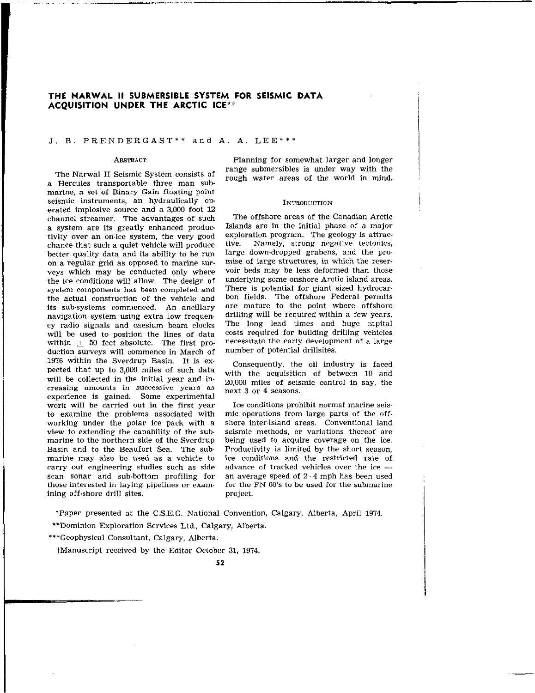# THE NARWAL II SUBMERSIBLE SYSTEM FOR SEISMIC DATA ACQUISITION UNDER THE ARCTIC ICE\*t

## J. B. PRENDERGAST\*\* and A. A. LEE\*\*\*

.- ~, .~.,.I ,\_

a Hercules transportable three man submarine, a set of Binary Gain floating point 1976 within the Sverdrup Basin. It is ex. seismic instruments, an hydraulically oppected that up to 3,000 miles of such data erated implosive source and a 3,000 foot 12 will be collected in the initial year and inchannel streamer. The advantages of such a system are its greatly enhanced produc creasing amounts in successive years as tivity over an on-ice system, the very good chance that such a quiet vehicle will produce experience is gained. Some experimental better quality data and its ability to he run on a regular grid as opposed to marine SUPwork will be carried out in the first year veys which may be conducted only where the ice conditions will allow. The design of system components has been completed and the actual construction of the vehicle and its sub-systems commenced. An ancillary navigation system using extra low frequency radio signals and caesium beam clocks will be used to position the lines of data within  $\pm$  50 feet absolute. The first production surveys will commence in March of to examine the problems associated with working under the polar ice pack with a view to extending the capability of the submarine to the northern side of the Sverdrup Basin and to the Beaufort Sea. The suhmarine may also be used as a vehicle to carry out engineering studies such as side scan sonar and suh.bottom profiling for those interested in laying pipelines or examining off-shore drill sites.

ABSTRACT Planning for somewhat larger and longer The Narwal II Seismic System consists of range submersibles is under way with the rough water areas of the world in mind.

## INTRODUCTION

The offshore areas of the Canadian Arctic Islands are in the initial phase of a major exploration program. The geology is attractive. Namely, strong negative tectonics. Namely, strong negative tectonics, large down-dropped grabens, and the promise of large structures, in which the reservoir beds may he less deformed than those underlying some onshore Arctic island areas. There is potential for giant sized hydrocarbon fields. The offshore Federal permits are mature to the point where offshore drilling will be required within a few years. The long lead times and huge capital costs required for building drilling vehicles necessitate the early development of a large number of potential drillsites.

Consequently, the oil industry is faced with the acquisition of between 10 and 20,000 miles of seismic control in say, the next 3 or 4 seasons.

mic operations from large parts of the offshore inter-island areas. Conventional land seismic methods, or variations thereof are being used to acquire coverage on the ice. Productivity is limited by the short season, ice conditions and the restricted rate of advance of tracked vehicles over the ice an average speed of  $2 - 4$  mph has been used for the FN 60's to be used for the submarine project. Ice conditions prohibit normal marine seis-

\*Paper presented at the C.S.E.G. National Convention, Calgary, Alberta, April 1974

\*\*Dominion Exploration Services Ltd., Calgary, Alberta.

\*\*\*Geophysical Consultant, Calgary, Alberta.

tManuscript received by the Editor October 31, 1974.

57.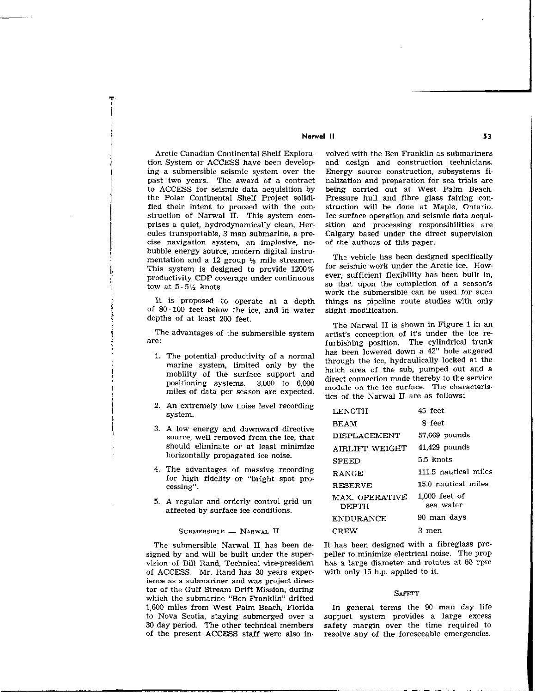# Norwal II 53

ing a submersible seismic system over the struction of Narwal II. This system comcise navigation system, an implosive, no. of the authors of this paper. bubble energy source, modern digital instrumentation and a 12 group  $\frac{1}{2}$  mile streamer.<br>The vehicle has been designed specifically<br>This system is dosigned to provide 1900% for seismic work under the Arctic ice. How-This system is designed to provide  $1200\%$  for seismic work under the Arctic ice. How-<br>productivity CDP coverage under continuous ever, sufficient flexibility has been built in, productivity CDP coverage under continuous tow at  $5.5\frac{1}{2}$  knots. So that upon the completion of a season's

Is, I

5

j;

i i

i,

 $\mathbf{r}$ 

of 80-100 feet below the ice, and in water slight modification. depths of at least 200 feet.

- mobility of the surface support and miles of data per season are expected.
- 2. An extremely low noise level recording system.
- 3. A low energy and downward directive source, well removed from the ice, that should eliminate or at least minimize horizontally propagated ice noise.
- 4. The advantages of massive recording for high fidelity or "bright spot pro. cessing".
- 5. A regular and orderly control grid unaffected by surface ice conditions.

SUBMERSIBLE - NARWAL II

The submersible Narwal II has been designed by and will be built under the supervision of Bill Rand, Technical vice-president of ACCESS. Mr. Rand has 30 years experience as a submariner and was project director of the Gulf Stream Drift Mission, during which the submarine "Ben Franklin" drifted 1,600 miles from West Palm Beach, Florida to Nova Scotia, staying submerged over a 30 day period. The other technical members of the present ACCESS staff were also in-

Arctic Canadian Continental Shelf Explora- valved with the Ben Franklin as submariners tion System or ACCESS have been develop- and design and construction technicians.<br>ing a submersible seismic system over the Energy source construction, subsystems fipast two years. The award of a contract nalization and preparation for sea trials are to ACCESS for seismic data acquisition by being carried out at West Palm Beach.<br>the Polar Continental Shelf Project solidi- Pressure hull and fibre glass fairing conthe Polar Continental Shelf Project solidi-<br>fiest and fibre glass fairing con-<br>fied their intent to proceed with the con-<br>struction will be done at Maple, Ontario. fied their intent to proceed with the con-<br>struction will be done at Maple, Ontario.<br>struction of Narwal II. This system com-<br>Ice surface operation and seismic data acquiprises a quiet, hydrodynamically clean, Her. sition and processing responsibilities are cules transportable, 3 man submarine, a pre Calgary based under the direct supervision

work the submersible can be used for such It is proposed to operate at a depth things as pipeline route studies with only

The Narwal II is shown in Figure 1 in an The advantages of the submersible system artist's conception of it's under the ice re-<br>are:<br> $\frac{1}{2}$  subjection are:<br> $\frac{1}{2}$  and  $\frac{1}{2}$  are: furbishing position. The cylindrical trunk<br>has been lowered down a 42" hole augered 1. The potential productivity of a normal has been lowered down a  $\frac{42}{2}$  hole augered moving authority of a normal through the ice, hydraulically locked at the marine system, limited only by the through the ice, hydraulically locked at the mositioning systems. 3,000 to 6,000 direct connection made thereby to the service<br>positioning systems.  $\frac{3,000}{2}$  direct connection module on the icc surface. The characteristics of the Nanval II are as follows:

| LENGTH                         | 45 feet                      |
|--------------------------------|------------------------------|
| <b>BEAM</b>                    | 8 feet                       |
| <b>DISPLACEMENT</b>            | 57,669 pounds                |
| AIRLIFT WEIGHT                 | 41,429 pounds                |
| <b>SPEED</b>                   | 5.5 knots                    |
| RANGE                          | 111.5 nautical miles         |
| <b>RESERVE</b>                 | 15.0 nautical miles          |
| MAX. OPERATIVE<br><b>DEPTH</b> | $1.000$ feet of<br>sea water |
| <b>ENDURANCE</b>               | 90 man days                  |
| <b>CREW</b>                    | 3 men                        |

It has been designed with a fibreglass propeller to minimize electrical noise. The prop has a large diameter and rotates at 60 rpm with only 15 h.p. applied to it.

#### SAFETY

In general terms the 90 man day life support system provides a large excess safety margin over the time required to resolve any of the foreseeable emergencies.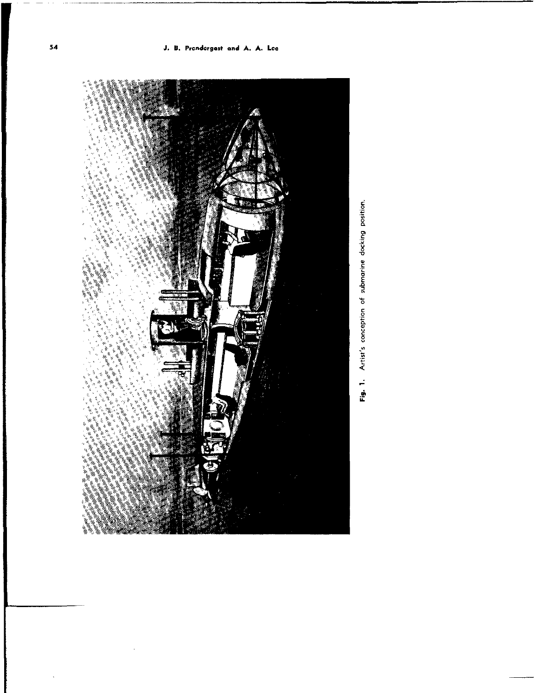

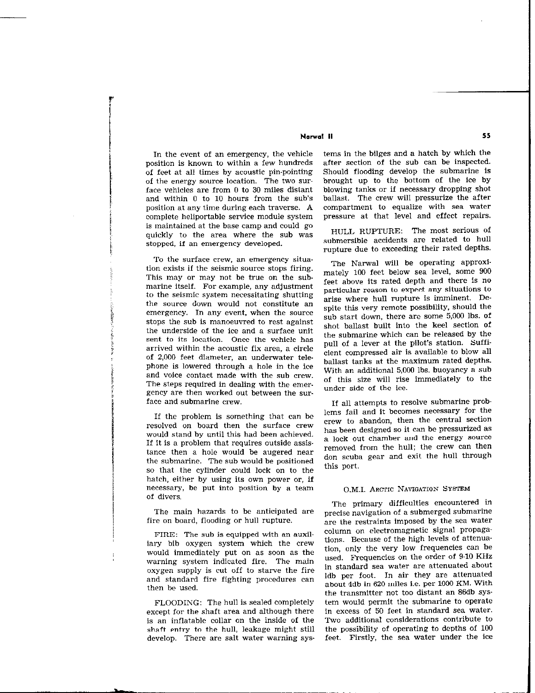# Nowal II 55

In the event of an emergency, the vehicle position is known to within a few hundreds of feet at all times by acoustic pin-pointing of the energy source location. The two surface vehicles are from 0 to 30 miles distant and within 0 to 10 hours from the sub's position at any time during each traverse. A complete heliportable service module system is maintained at the base camp and could go quickly to the area where the sub was stopped, if an emergency developed.

To the surface crew, an emergency situation exists if the seismic source stops firing. This may or may not be true on the submarine itself. For example, any adjustment to the seismic system necessitating shutting the source down would not constitute an emergency. In any event, when the source stops the sub is manoeuvred to rest against the underside of the ice and a surface unit sent to its location. Once the vehicle has arrived within the acoustic fix area, a circle of 2,000 feet diameter, an underwater telephone is lowered through a hole in the ice and voice contact made with the sub crew. The steps required in dealing with the emer. gency are then worked out between the surface and submarine crew.

If the problem is something that can be resolved on board then the surface crew would stand by until this had been achieved. If it is a problem that requires outside assistance then a hole would be augered near the submarine. The sub would be positioned so that the cylinder could lock on to the hatch, either by using its own power or, if necessary, be put into position by a team of divers.

The main hazards to be anticipated are fire on board, flooding or hull rupture.

FIRE: The sub is equipped with an auxiliary bib oxygen system which the crew would immediately put on as soon as the warning system indicated fire. The main oxygen supply is cut off to starve the fire and standard fire fighting procedures can then be used.

FLOODING: The hull is sealed completely except for the shaft area and although there is an inflatable collar on the inside of the shaft entry to the hull, leakage might still develop. There are salt water warning sys-

tems in the bilges and a hatch by which the after section of the sub can be inspected. Should flooding develop the submarine is brought up to the bottom of the ice by blowing tanks or if necessary dropping shot ballast. The crew will pressurize the after compartment to equalize with sea water pressure at that level and effect repairs.

HULL RUPTURE: The most serious of submersible accidents are related to hull rupture due to exceeding their rated depths.

The Narwal will be operating approximately 100 feet below sea level, some 900 feet above its rated depth and there is no particular reason to expect any situations to arise where hull rupture is imminent. Despite this very remote possibility, should the sub start down, there are some 5,000 Ibs. of shot ballast built into the keel section of the submarine which can be released by the pull of a lever at the pilot's station. Sufficient compressed air is available to blow all ballast tanks at the maximum rated depths. With an additional 5,000 lbs. buoyancy a sub of this size will rise immediately to the under side of the ice.

If all attempts to resolve submarine problems fail and it becomes necessary for the crew to abandon, then the central section has been designed so it can be pressurized as a lock out chamber and the energy source removed from the hull; the crew can then don scuba gear and exit the hull through this port.

# O.M.I. ARCTIC NAVIGATION SYSTEM

The primary difficulties encountered in precise navigation of a submerged submarine are the restraints imposed by the sea water column on electromagnetic signal propagations. Because of the high levels of attenue tion, only the very low frequencies can be used. Frequencies on the order of S-10 KHz in standard sea water are attenuated about ldb per foot. In air they are attenuated about 4db in 620 miles i.e. per 1000 KM. With the transmitter not too distant an 86db sys. tern would permit the submarine to operate in excess of 50 feet in standard sea water. Two additional considerations contribute to the possibility of operating to depths of 100 feet. Firstly, the sea water under the ice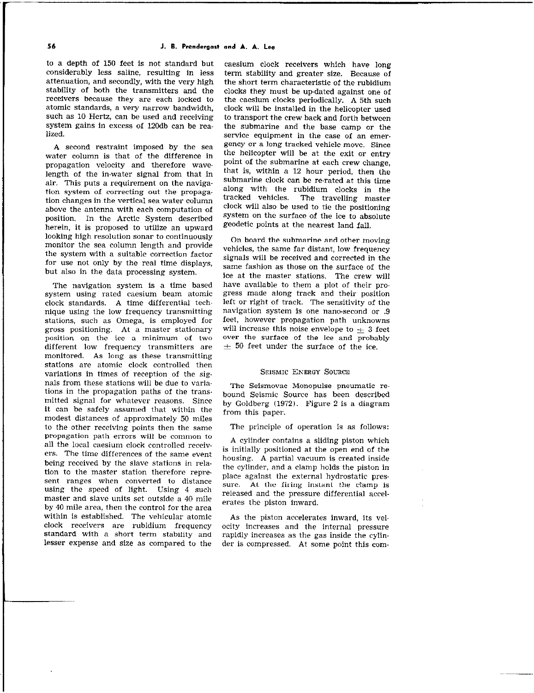to a depth of 150 feet is not standard but considerably less saline, resulting in less attenuation, and secondly, with the very high stability of both the transmitters and the receivers because they are each locked to atomic standards, a very narrow bandwidth, such as 10 Hertz, can be used and receiving system gains in excess of 120db can be realized.

A second restraint imposed by the sea water column is that of the difference in propagation velocity and therefore wavelength of the inwater signal from that in air. This puts a requirement on the navigation system of correcting out the propaga. tion changes in the vertical sea water column above the antenna with each computation of position. In the Arctic System described herein, it is proposed to utilize an upward looking high resolution sonar to continuously monitor the sea column length and provide the system with a suitable correction factor for use not only by the real time displays, but also in the data processing system.

The navigation system is a time based system using rated caesium beam atomic clack standards. A time differential tech. nique using the low frequency transmitting stations, such as Omega, is employed for gross positioning. At a master stationary position on the ice a minimum of two different low frequency transmitters are monitored. As long as these transmitting stations are atomic clock controlled then variations in times of reception of the signals from these stations will be due to variations in the propagation paths of the trans. mitted signal for whatever reasons. Since it can be safely assumed that within the modest distances of approximately 50 miles to the other receiving points then the same propagation path errors will be common to propagation path errors will be common to<br>all the local caesium clock controlled receiv-<br>is initially positioned at the open end of the ers. The time differences of the same event<br>housing. A partial vacuum is created inside being received by the slave stations in relation to the master station therefore repre. sent ranges when converted to distance place against the external hydrostatic presusing the speed of light. Using  $\frac{4}{1}$  such such sure. At the firing instant the clamp is master and slave units set outside a 40 mile by 40 mile area, then the control for the area<br>within is established. The vehicular atomic within is established. The vehicular atomic and the piston accelerates inward, its vel-<br>clock receivers are rubidium frequency ocity increases and the internal pressure clock receivers are rubidium frequency ocity increases and the internal pressure<br>standard with a short term stability and rapidly-increases as the gas-inside the-cylin.

caesium clock receivers which have long term stability and greater size. Because of the short term characteristic of the rubidium clocks they must be up-dated against one of the caesium clocks periodically. A 5th such clock will be installed in the helicopter used to transport the crew back and forth between the submarine and the base camp or the service equipment in the case of an emergency or a long tracked vehicle move. Since the helicopter will be at the exit or entry point of the submarine at each crew change, that is, within a 12 hour period, then the submarine clock can be rerated at this time along with the rubidium clocks in the tracked vehicles. The travelling master clock will also be used to tie the positioning system on the surface of the ice to absolute geodetic points at the nearest land fall.

On board the submarine and other moving vehicles, the same far distant, low frequency signals will be received and corrected in the same fashion as those on the surface of the ice at the master stations. The crew will have available to them a plot of their progress made along track and their position left or right of track. The sensitivity of the navigation system is one nano-second or .9 feet, however propagation path unknowns will increase this noise envelope to  $\pm$  3 feet over the surface of the ice and probably  $\pm$  50 feet under the surface of the ice.

### SEISMIC EXEROY SOURCE

The Seismovac Monopulse pneumatic rebound Seismic Source has been described by Goldberg (1972). Figure 2 is a diagram from this paper.

The principle of operation is as follows:

the cylinder, and a clamp holds the piston in<br>place against the external hydrostatic prescrates the piston inward.

standard with a short term stability and rapidly increases as the gas inside the cylin-<br>lesser expense and size as compared to the der is compressed. At some point this comder is compressed. At some point this com-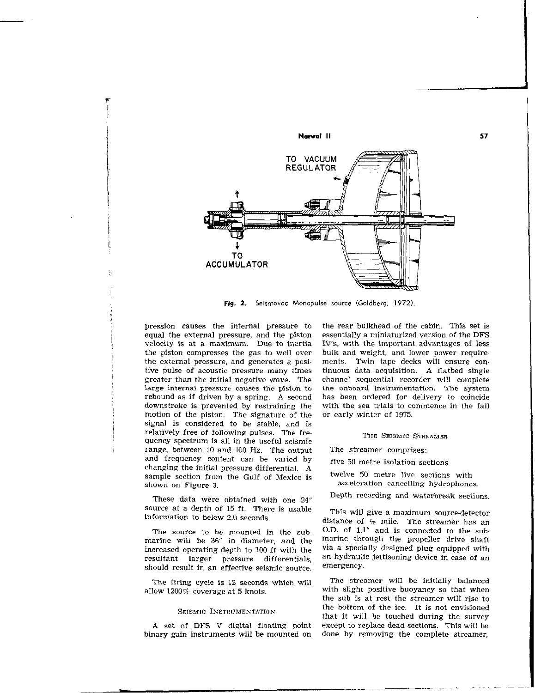

Fig. 2. Seismovac Monopulse source (Goldberg, 1972).

pression causes the internal pressure to equal the external pressure, and the piston velocity is at a maximum. Due to inertia the piston compresses the gas to well over the external pressure, and generates a posi. tive pulse of acoustic pressure many times greater than the initial negative wave. The large internal pressure causes the piston to rebound as if driven by a spring. A second downstroke is prevented by restraining the motion of the piston. The signature of the signal is considered to be stable, and is relatively free of following pulses. The fre. quency spectrum is all in the useful seismic range, between 10 and 100 Hz. The output and frequency content can be varied by changing the initial pressure differential. A sample section from the Gulf of Mexico is shown on Figure 3.

These data were obtained with one 24" Source at a depth of 15 ft. There is usable information to below 2.0 seconds.

The source to be mounted in the sub. marine will be 36" in diameter, and the increased operating depth to 100 ft with the resultant larger pressure differentials, should result in an effective seismic source.

The firing cycle is 12 seconds which will allow 1200% coverage at 5 knots.

#### SEISMIC INSTRUMENTATION

A set of DFS V digital floating point binary gain instruments will be mounted on

the rear bulkhead of the cabin. This set is essentially a miniaturized version of the DFS IV's, with the important advantages of less bulk and weight. and lower power requirements. Twin tape decks will ensure continuous data acquisition. A flatbed single channel sequential recorder will complete the onboard instrumentation. The system has been ordered for delivery to coincide with the sea trials to commence in the fall or early winter of 1975.

57

# THE SEISMIC STREAMER

- The streamer comprises:
- five 50 metre isolation sections
- twelve 50 metre live sections with acceleration cancelling hydrophones.
- Depth recording and waterbreak sections.

This will give a maximum source-detector distance of  $\frac{1}{2}$  mile. The streamer has an O.D. of 1.1" and is connected to the sub. marine through the propeller drive shaft via a specially designed plug equipped with an hydraulic jettisoning device in case of an emergency.

The streamer will be initially balanced with slight positive buoyancy so that when the sub is at rest the streamer will rise to the bottom of the ice. It is not envisioned that it will be touched during the survey except to replace dead sections. This will be done by removing the complete streamer,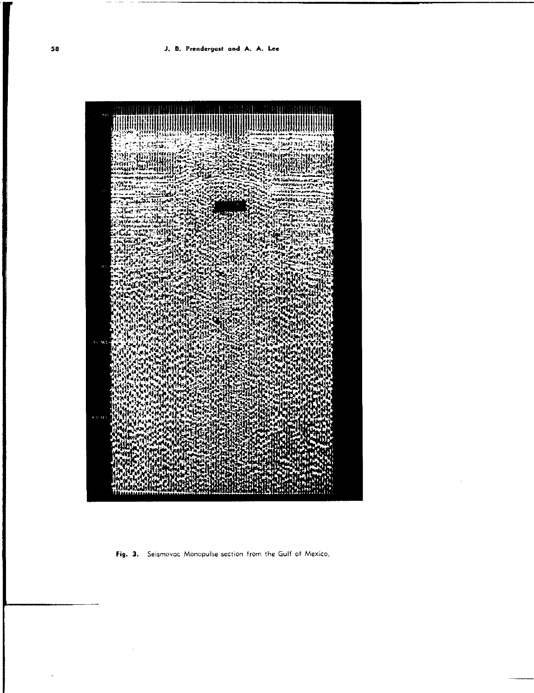

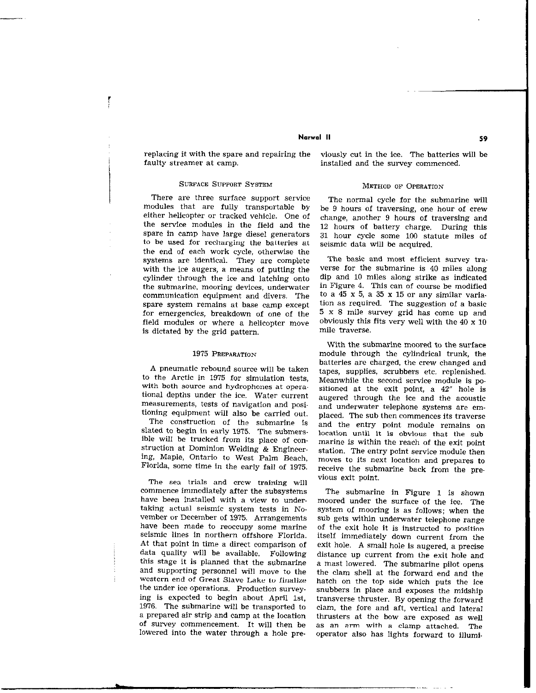## Norwal II 59

replacing it with the spare and repairing the viously cut in the ice. The batteries will be faulty streamer at camp.

 $\frac{1}{2}$ 

# SURFACE SUPPORT SYSTEM METHOD OF OPERATION

There are three surface support service The normal cycle for the submarine will modules that are fully transportable by be 9 hours of traversing, one hour of crew either helicopter or tracked vehicle. One of the service modules in the field and the spare in camp have large diesel generators to be used for recharging the batteries at the end of each work cycle, otherwise the systems are identical. They are complete with the ice augers, a means of putting the cylinder through the ice and latching onto the submarine, mooring devices, underwater communication equipment and divers. The spare system remains at base camp except for emergencies, breakdown of one of the field modules or where a helicopter move is dictated by the grid pattern.

### 1975 PREPARATION

A pneumatic rebound source will be taken to the Arctic in 1975 for simulation tests, with both source and hydrophones at operational depths under the ice. Water current measurements, tests of navigation and positioning equipment will also be carried out.

The construction of the submarine is slated to begin in early 1975. The submersible will be trucked from its place of construction at Dominion Welding & Engineering, Maple, Ontario to West Palm Beach, Florida, some time in the early fall of 1975.

The sea trials and crew training will commence immediately after the subsystems have been installed with a view to under. taking actual seismic system tests in NO. vember or December of 1975. Arrangements have been made to reoccupy some marine seismic lines in northern offshore Florida. At that point in time a direct comparison of data quality will be available. Following this stage it is planned that the submarine and supporting personnel will move to the Western end of Great Slave Lake to finalize the under ice operations. Production surveying is expected to begin about April 1st. 1976. The submarine will be transported to a prepared air strip and camp at the location of survey commencement. It will then be lowered into the water through a hole pre.

installed and the survey commenced.

be 9 hours of traversing, one hour of crew change, another 9 hours of traversing and 12 hours of battery charge. During this 31 hour cycle some 100 statute miles of seismic data will be acquired.

The basic and most efficient survey tra. verse for the submarine is 40 miles along dip and 10 miles along strike as indicated in Figure 4. This can of course be modified to a  $45 \times 5$ , a 35 x 15 or any similar variation as required. The suggestion of a basic 5 x 8 mile survey grid has come up and obviously this fits very well with the 40 x 10 mile traverse.

With the submarine moored to the surface module through the cylindrical trunk, the batteries are charged, the crew changed and tapes, supplies, scrubbers etc. replenished. Meanwhile the second service module is positioned at the exit point, a 42" hole is augered through the ice and the acoustic and underwater telephone systems are emplaced. The sub then commences its traverse and the entry point module remains on location until it is obvious that the submarine is within the reach of the exit point station. The entry point service module then moves to its next location and prepares to receive the submarine back from the previous exit point.

The submarine in Figure I is shown moored under the surface of the ice. The system of mooring is as follows; when the sub gets within underwater telephone range of the exit hole it is instructed to position itself immediately down current from the exit hole. A small hole is augered, a precise distance up current from the exit hole and a mast lowered. The submarine pilot opens the clam shell at the forward end and the hatch on the top side which puts the ice snubbers in place and exposes the midship transverse thruster. By opening the forward clam, the fore and aft, vertical and lateral thrusters at the bow are exposed as well as an arm with a clamp attached. The operator also has lights forward to illumi.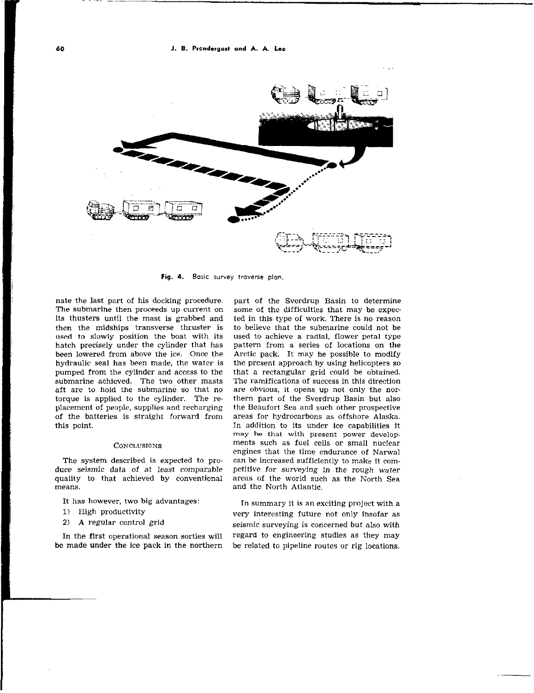

Fig. 4. Basic survey traverse plan.

nate the last part of his docking procedure. The submarine then proceeds up current on its thusters until the mast is grabbed and then the midships transverse thruster is used to slowly position the boat with its hatch precisely under the cylinder that has been lowered from above the ice. Once the hydraulic seal has been made, the water is pumped from the cylinder and access to the submarine achieved. The two other masts aft are to hold the submarine so that no torque is applied to the cylinder. The re. placement of people, supplies and recharging of the batteries is straight forward from this point.

#### **CONCLUSIONS**

The system described is expected to produce seismic data of at least comparable quality to that achieved by conventional means.

It has however, two big advantages:

- 1) High productivity
- 2) A regular control grid

In the first operational season sorties will be made under the ice pack in the northern

part of the Sverdrup Basin to determine some of the difficulties that may be expec ted in this type of work. There is no reason to believe that the submarine could not be used to achieve a radial, flower petal type pattern from a series of locations on the Arctic pack. It may he possible to modify the present approach by using helicopters so that a rectangular grid could be obtained. The ramifications of success in this direction are obvious, it opens up not only the northern part of the Sverdrup Basin but also the Beaufort Sea and such other prospective areas for hydrocarbons as offshore Alaska. In addition to its under ice capabilities it may he that with present power developments such as fuel cells or small nuclear engines that the time endurance of Nawal can be increased sufficiently to make it competitive for surveying in the rough water areas of the world such as the North Sea and the North Atlantic.

In summary it is an exciting project with a very interesting future not only insofar as seismic surveying is concerned but also with regard to engineering studies as they may be related to pipeline routes or rig locations.